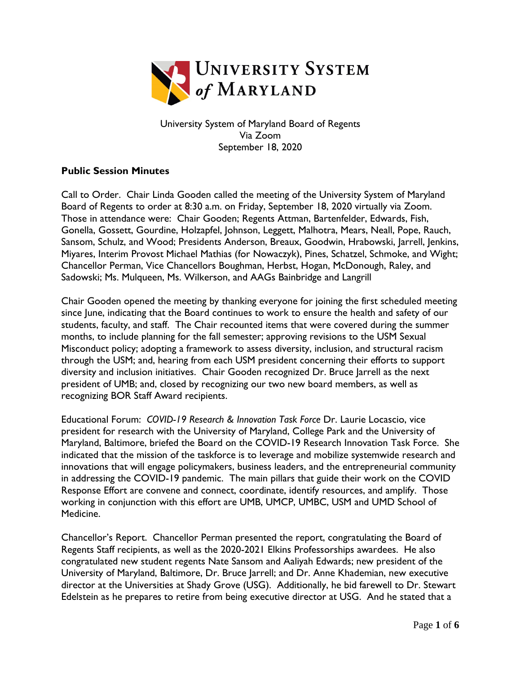

University System of Maryland Board of Regents Via Zoom September 18, 2020

## **Public Session Minutes**

Call to Order. Chair Linda Gooden called the meeting of the University System of Maryland Board of Regents to order at 8:30 a.m. on Friday, September 18, 2020 virtually via Zoom. Those in attendance were: Chair Gooden; Regents Attman, Bartenfelder, Edwards, Fish, Gonella, Gossett, Gourdine, Holzapfel, Johnson, Leggett, Malhotra, Mears, Neall, Pope, Rauch, Sansom, Schulz, and Wood; Presidents Anderson, Breaux, Goodwin, Hrabowski, Jarrell, Jenkins, Miyares, Interim Provost Michael Mathias (for Nowaczyk), Pines, Schatzel, Schmoke, and Wight; Chancellor Perman, Vice Chancellors Boughman, Herbst, Hogan, McDonough, Raley, and Sadowski; Ms. Mulqueen, Ms. Wilkerson, and AAGs Bainbridge and Langrill

Chair Gooden opened the meeting by thanking everyone for joining the first scheduled meeting since June, indicating that the Board continues to work to ensure the health and safety of our students, faculty, and staff. The Chair recounted items that were covered during the summer months, to include planning for the fall semester; approving revisions to the USM Sexual Misconduct policy; adopting a framework to assess diversity, inclusion, and structural racism through the USM; and, hearing from each USM president concerning their efforts to support diversity and inclusion initiatives. Chair Gooden recognized Dr. Bruce Jarrell as the next president of UMB; and, closed by recognizing our two new board members, as well as recognizing BOR Staff Award recipients.

Educational Forum: *COVID-19 Research & Innovation Task Force* Dr. Laurie Locascio, vice president for research with the University of Maryland, College Park and the University of Maryland, Baltimore, briefed the Board on the COVID-19 Research Innovation Task Force. She indicated that the mission of the taskforce is to leverage and mobilize systemwide research and innovations that will engage policymakers, business leaders, and the entrepreneurial community in addressing the COVID-19 pandemic. The main pillars that guide their work on the COVID Response Effort are convene and connect, coordinate, identify resources, and amplify. Those working in conjunction with this effort are UMB, UMCP, UMBC, USM and UMD School of Medicine.

Chancellor's Report. Chancellor Perman presented the report, congratulating the Board of Regents Staff recipients, as well as the 2020-2021 Elkins Professorships awardees. He also congratulated new student regents Nate Sansom and Aaliyah Edwards; new president of the University of Maryland, Baltimore, Dr. Bruce Jarrell; and Dr. Anne Khademian, new executive director at the Universities at Shady Grove (USG). Additionally, he bid farewell to Dr. Stewart Edelstein as he prepares to retire from being executive director at USG. And he stated that a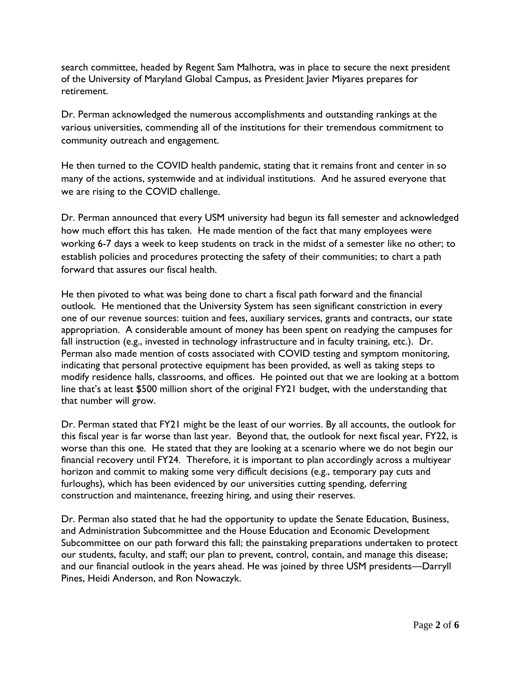search committee, headed by Regent Sam Malhotra, was in place to secure the next president of the University of Maryland Global Campus, as President Javier Miyares prepares for retirement.

Dr. Perman acknowledged the numerous accomplishments and outstanding rankings at the various universities, commending all of the institutions for their tremendous commitment to community outreach and engagement.

He then turned to the COVID health pandemic, stating that it remains front and center in so many of the actions, systemwide and at individual institutions. And he assured everyone that we are rising to the COVID challenge.

Dr. Perman announced that every USM university had begun its fall semester and acknowledged how much effort this has taken. He made mention of the fact that many employees were working 6-7 days a week to keep students on track in the midst of a semester like no other; to establish policies and procedures protecting the safety of their communities; to chart a path forward that assures our fiscal health.

He then pivoted to what was being done to chart a fiscal path forward and the financial outlook. He mentioned that the University System has seen significant constriction in every one of our revenue sources: tuition and fees, auxiliary services, grants and contracts, our state appropriation. A considerable amount of money has been spent on readying the campuses for fall instruction (e.g., invested in technology infrastructure and in faculty training, etc.). Dr. Perman also made mention of costs associated with COVID testing and symptom monitoring, indicating that personal protective equipment has been provided, as well as taking steps to modify residence halls, classrooms, and offices. He pointed out that we are looking at a bottom line that's at least \$500 million short of the original FY21 budget, with the understanding that that number will grow.

Dr. Perman stated that FY21 might be the least of our worries. By all accounts, the outlook for this fiscal year is far worse than last year. Beyond that, the outlook for next fiscal year, FY22, is worse than this one. He stated that they are looking at a scenario where we do not begin our financial recovery until FY24. Therefore, it is important to plan accordingly across a multiyear horizon and commit to making some very difficult decisions (e.g., temporary pay cuts and furloughs), which has been evidenced by our universities cutting spending, deferring construction and maintenance, freezing hiring, and using their reserves.

Dr. Perman also stated that he had the opportunity to update the Senate Education, Business, and Administration Subcommittee and the House Education and Economic Development Subcommittee on our path forward this fall; the painstaking preparations undertaken to protect our students, faculty, and staff; our plan to prevent, control, contain, and manage this disease; and our financial outlook in the years ahead. He was joined by three USM presidents—Darryll Pines, Heidi Anderson, and Ron Nowaczyk.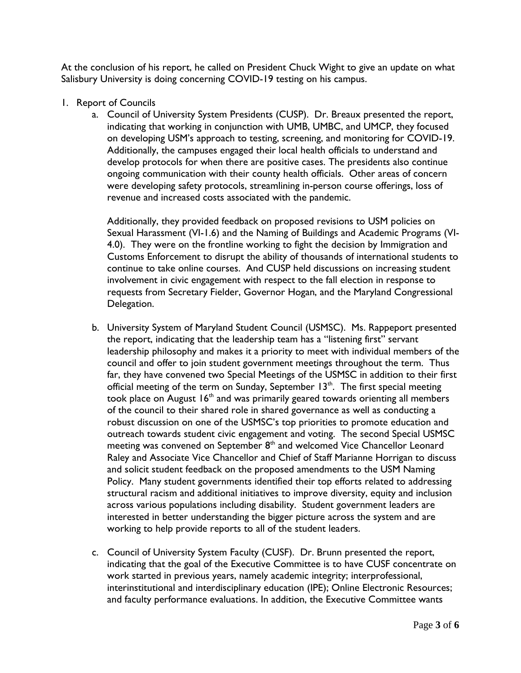At the conclusion of his report, he called on President Chuck Wight to give an update on what Salisbury University is doing concerning COVID-19 testing on his campus.

- 1. Report of Councils
	- a. Council of University System Presidents (CUSP). Dr. Breaux presented the report, indicating that working in conjunction with UMB, UMBC, and UMCP, they focused on developing USM's approach to testing, screening, and monitoring for COVID-19. Additionally, the campuses engaged their local health officials to understand and develop protocols for when there are positive cases. The presidents also continue ongoing communication with their county health officials. Other areas of concern were developing safety protocols, streamlining in-person course offerings, loss of revenue and increased costs associated with the pandemic.

Additionally, they provided feedback on proposed revisions to USM policies on Sexual Harassment (VI-1.6) and the Naming of Buildings and Academic Programs (VI-4.0). They were on the frontline working to fight the decision by Immigration and Customs Enforcement to disrupt the ability of thousands of international students to continue to take online courses. And CUSP held discussions on increasing student involvement in civic engagement with respect to the fall election in response to requests from Secretary Fielder, Governor Hogan, and the Maryland Congressional Delegation.

- b. University System of Maryland Student Council (USMSC). Ms. Rappeport presented the report, indicating that the leadership team has a "listening first" servant leadership philosophy and makes it a priority to meet with individual members of the council and offer to join student government meetings throughout the term. Thus far, they have convened two Special Meetings of the USMSC in addition to their first official meeting of the term on Sunday, September  $13<sup>th</sup>$ . The first special meeting took place on August  $16<sup>th</sup>$  and was primarily geared towards orienting all members of the council to their shared role in shared governance as well as conducting a robust discussion on one of the USMSC's top priorities to promote education and outreach towards student civic engagement and voting. The second Special USMSC meeting was convened on September  $8<sup>th</sup>$  and welcomed Vice Chancellor Leonard Raley and Associate Vice Chancellor and Chief of Staff Marianne Horrigan to discuss and solicit student feedback on the proposed amendments to the USM Naming Policy. Many student governments identified their top efforts related to addressing structural racism and additional initiatives to improve diversity, equity and inclusion across various populations including disability. Student government leaders are interested in better understanding the bigger picture across the system and are working to help provide reports to all of the student leaders.
- c. Council of University System Faculty (CUSF). Dr. Brunn presented the report, indicating that the goal of the Executive Committee is to have CUSF concentrate on work started in previous years, namely academic integrity; interprofessional, interinstitutional and interdisciplinary education (IPE); Online Electronic Resources; and faculty performance evaluations. In addition, the Executive Committee wants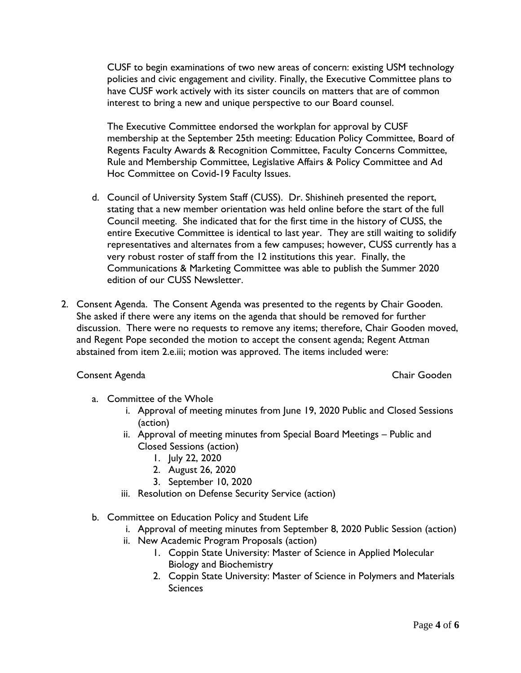CUSF to begin examinations of two new areas of concern: existing USM technology policies and civic engagement and civility. Finally, the Executive Committee plans to have CUSF work actively with its sister councils on matters that are of common interest to bring a new and unique perspective to our Board counsel.

The Executive Committee endorsed the workplan for approval by CUSF membership at the September 25th meeting: Education Policy Committee, Board of Regents Faculty Awards & Recognition Committee, Faculty Concerns Committee, Rule and Membership Committee, Legislative Affairs & Policy Committee and Ad Hoc Committee on Covid-19 Faculty Issues.

- d. Council of University System Staff (CUSS). Dr. Shishineh presented the report, stating that a new member orientation was held online before the start of the full Council meeting. She indicated that for the first time in the history of CUSS, the entire Executive Committee is identical to last year. They are still waiting to solidify representatives and alternates from a few campuses; however, CUSS currently has a very robust roster of staff from the 12 institutions this year. Finally, the Communications & Marketing Committee was able to publish the Summer 2020 edition of our CUSS Newsletter.
- 2. Consent Agenda. The Consent Agenda was presented to the regents by Chair Gooden. She asked if there were any items on the agenda that should be removed for further discussion. There were no requests to remove any items; therefore, Chair Gooden moved, and Regent Pope seconded the motion to accept the consent agenda; Regent Attman abstained from item 2.e.iii; motion was approved. The items included were:

## Consent Agenda Chair Gooden

- a. Committee of the Whole
	- i. Approval of meeting minutes from June 19, 2020 Public and Closed Sessions (action)
	- ii. Approval of meeting minutes from Special Board Meetings Public and Closed Sessions (action)
		- 1. July 22, 2020
		- 2. August 26, 2020
		- 3. September 10, 2020
	- iii. Resolution on Defense Security Service (action)
- b. Committee on Education Policy and Student Life
	- i. Approval of meeting minutes from September 8, 2020 Public Session (action)
	- ii. New Academic Program Proposals (action)
		- 1. Coppin State University: Master of Science in Applied Molecular Biology and Biochemistry
		- 2. Coppin State University: Master of Science in Polymers and Materials **Sciences**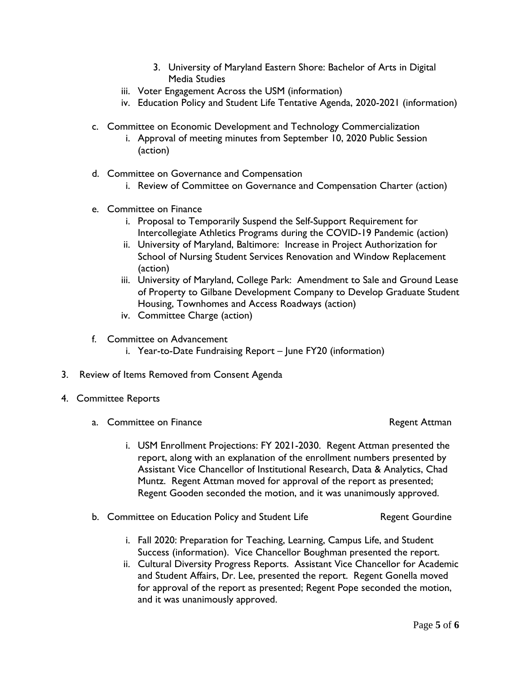- 3. University of Maryland Eastern Shore: Bachelor of Arts in Digital Media Studies
- iii. Voter Engagement Across the USM (information)
- iv. Education Policy and Student Life Tentative Agenda, 2020-2021 (information)
- c. Committee on Economic Development and Technology Commercialization
	- i. Approval of meeting minutes from September 10, 2020 Public Session (action)
- d. Committee on Governance and Compensation
	- i. Review of Committee on Governance and Compensation Charter (action)
- e. Committee on Finance
	- i. Proposal to Temporarily Suspend the Self-Support Requirement for Intercollegiate Athletics Programs during the COVID-19 Pandemic (action)
	- ii. University of Maryland, Baltimore: Increase in Project Authorization for School of Nursing Student Services Renovation and Window Replacement (action)
	- iii. University of Maryland, College Park: Amendment to Sale and Ground Lease of Property to Gilbane Development Company to Develop Graduate Student Housing, Townhomes and Access Roadways (action)
	- iv. Committee Charge (action)
- f. Committee on Advancement
	- i. Year-to-Date Fundraising Report June FY20 (information)
- 3. Review of Items Removed from Consent Agenda
- 4. Committee Reports
	- a. Committee on Finance and The Committee on Finance and The Regent Attman
		- i. USM Enrollment Projections: FY 2021-2030. Regent Attman presented the report, along with an explanation of the enrollment numbers presented by Assistant Vice Chancellor of Institutional Research, Data & Analytics, Chad Muntz. Regent Attman moved for approval of the report as presented; Regent Gooden seconded the motion, and it was unanimously approved.
	- b. Committee on Education Policy and Student Life **Regent Gourdine** 
		- i. Fall 2020: Preparation for Teaching, Learning, Campus Life, and Student Success (information). Vice Chancellor Boughman presented the report.
		- ii. Cultural Diversity Progress Reports. Assistant Vice Chancellor for Academic and Student Affairs, Dr. Lee, presented the report. Regent Gonella moved for approval of the report as presented; Regent Pope seconded the motion, and it was unanimously approved.